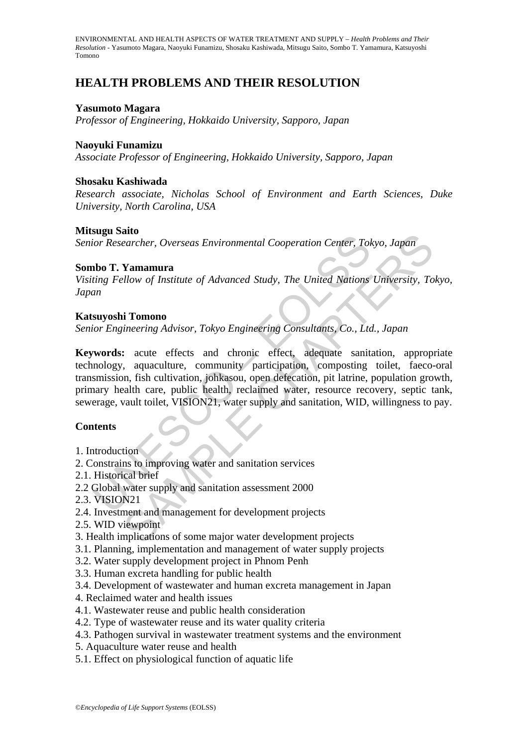# **HEALTH PROBLEMS AND THEIR RESOLUTION**

## **Yasumoto Magara**

*Professor of Engineering, Hokkaido University, Sapporo, Japan* 

## **Naoyuki Funamizu**

*Associate Professor of Engineering, Hokkaido University, Sapporo, Japan* 

## **Shosaku Kashiwada**

*Research associate, Nicholas School of Environment and Earth Sciences, Duke University, North Carolina, USA* 

## **Mitsugu Saito**

*Senior Researcher, Overseas Environmental Cooperation Center, Tokyo, Japan* 

#### **Sombo T. Yamamura**

*Visiting Fellow of Institute of Advanced Study, The United Nations University, Tokyo, Japan* 

## **Katsuyoshi Tomono**

*Senior Engineering Advisor, Tokyo Engineering Consultants, Co., Ltd., Japan* 

Solar States<br>
Cor Researcher, Overseas Environmental Cooperation Center, Tok<br>
tho **T. Yamamura**<br>
ting Fellow of Institute of Advanced Study, The United Nations<br>
an<br> **suyoshi Tomono**<br>
for Engineering Advisor, Tokyo Engineer **Example 12**<br> **Example 2018**<br> **Example 2018**<br> **Example 2018**<br> **Example 2018**<br> **Example 2018**<br> **Example 2018**<br> **Example 2018**<br> **Example 2018**<br> **Example 2018**<br> **Example 2018**<br> **Example 2018**<br> **Example 2018**<br> **Example 2018**<br> **Keywords:** acute effects and chronic effect, adequate sanitation, appropriate technology, aquaculture, community participation, composting toilet, faeco-oral transmission, fish cultivation, johkasou, open defecation, pit latrine, population growth, primary health care, public health, reclaimed water, resource recovery, septic tank, sewerage, vault toilet, VISION21, water supply and sanitation, WID, willingness to pay.

## **Contents**

- 1. Introduction
- 2. Constrains to improving water and sanitation services
- 2.1. Historical brief
- 2.2 Global water supply and sanitation assessment 2000
- 2.3. VISION21
- 2.4. Investment and management for development projects
- 2.5. WID viewpoint
- 3. Health implications of some major water development projects
- 3.1. Planning, implementation and management of water supply projects
- 3.2. Water supply development project in Phnom Penh
- 3.3. Human excreta handling for public health
- 3.4. Development of wastewater and human excreta management in Japan
- 4. Reclaimed water and health issues
- 4.1. Wastewater reuse and public health consideration
- 4.2. Type of wastewater reuse and its water quality criteria
- 4.3. Pathogen survival in wastewater treatment systems and the environment
- 5. Aquaculture water reuse and health
- 5.1. Effect on physiological function of aquatic life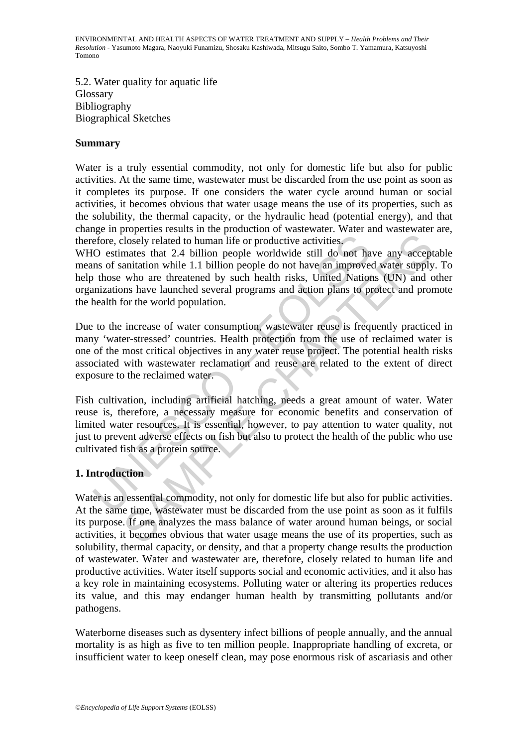5.2. Water quality for aquatic life Glossary Bibliography Biographical Sketches

#### **Summary**

Water is a truly essential commodity, not only for domestic life but also for public activities. At the same time, wastewater must be discarded from the use point as soon as it completes its purpose. If one considers the water cycle around human or social activities, it becomes obvious that water usage means the use of its properties, such as the solubility, the thermal capacity, or the hydraulic head (potential energy), and that change in properties results in the production of wastewater. Water and wastewater are, therefore, closely related to human life or productive activities.

Effore, closely related to human life or productive activities.<br>O estimates that 2.4 billion people worldwide still do not halm and of sanitation while 1.1 billion people do not have an improve those who are threatened by closely related to human life or productive activities.<br>
mates that 2.4 billion people worldwide still do not have any accept<br>
mates that 2.4 billion people do not have an improved water supply<br>
who are threatened by such WHO estimates that 2.4 billion people worldwide still do not have any acceptable means of sanitation while 1.1 billion people do not have an improved water supply. To help those who are threatened by such health risks, United Nations (UN) and other organizations have launched several programs and action plans to protect and promote the health for the world population.

Due to the increase of water consumption, wastewater reuse is frequently practiced in many 'water-stressed' countries. Health protection from the use of reclaimed water is one of the most critical objectives in any water reuse project. The potential health risks associated with wastewater reclamation and reuse are related to the extent of direct exposure to the reclaimed water.

Fish cultivation, including artificial hatching, needs a great amount of water. Water reuse is, therefore, a necessary measure for economic benefits and conservation of limited water resources. It is essential, however, to pay attention to water quality, not just to prevent adverse effects on fish but also to protect the health of the public who use cultivated fish as a protein source.

## **1. Introduction**

Water is an essential commodity, not only for domestic life but also for public activities. At the same time, wastewater must be discarded from the use point as soon as it fulfils its purpose. If one analyzes the mass balance of water around human beings, or social activities, it becomes obvious that water usage means the use of its properties, such as solubility, thermal capacity, or density, and that a property change results the production of wastewater. Water and wastewater are, therefore, closely related to human life and productive activities. Water itself supports social and economic activities, and it also has a key role in maintaining ecosystems. Polluting water or altering its properties reduces its value, and this may endanger human health by transmitting pollutants and/or pathogens.

Waterborne diseases such as dysentery infect billions of people annually, and the annual mortality is as high as five to ten million people. Inappropriate handling of excreta, or insufficient water to keep oneself clean, may pose enormous risk of ascariasis and other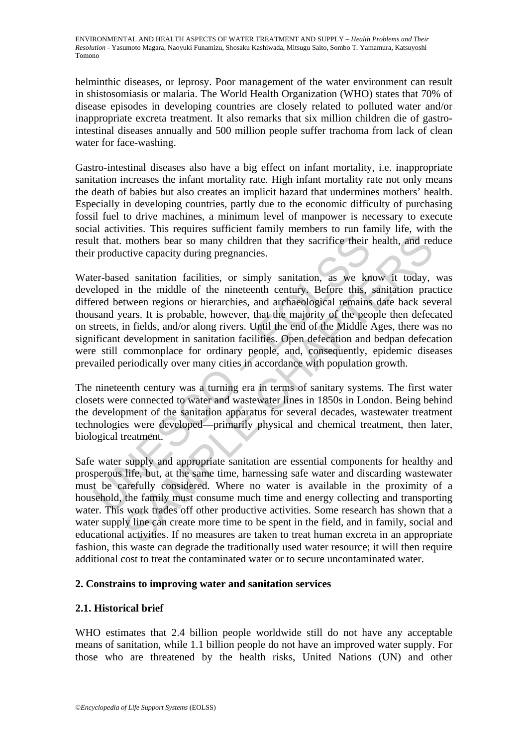helminthic diseases, or leprosy. Poor management of the water environment can result in shistosomiasis or malaria. The World Health Organization (WHO) states that 70% of disease episodes in developing countries are closely related to polluted water and/or inappropriate excreta treatment. It also remarks that six million children die of gastrointestinal diseases annually and 500 million people suffer trachoma from lack of clean water for face-washing.

Gastro-intestinal diseases also have a big effect on infant mortality, i.e. inappropriate sanitation increases the infant mortality rate. High infant mortality rate not only means the death of babies but also creates an implicit hazard that undermines mothers' health. Especially in developing countries, partly due to the economic difficulty of purchasing fossil fuel to drive machines, a minimum level of manpower is necessary to execute social activities. This requires sufficient family members to run family life, with the result that. mothers bear so many children that they sacrifice their health, and reduce their productive capacity during pregnancies.

It that. mothers bear so many children that they sacrifice their<br>r productive capacity during pregnancies.<br>er-based sanitation facilities, or simply sanitation, as we kn<br>eloped in the middle of the nineteenth century. Befo mothers bear so many children that they sacrifice their health, and rective capacity during pregnancies.<br>
Ed sanitation facilities, or simply sanitation, as we know it today, in the middle of the nineteenth century. Before Water-based sanitation facilities, or simply sanitation, as we know it today, was developed in the middle of the nineteenth century. Before this, sanitation practice differed between regions or hierarchies, and archaeological remains date back several thousand years. It is probable, however, that the majority of the people then defecated on streets, in fields, and/or along rivers. Until the end of the Middle Ages, there was no significant development in sanitation facilities. Open defecation and bedpan defecation were still commonplace for ordinary people, and, consequently, epidemic diseases prevailed periodically over many cities in accordance with population growth.

The nineteenth century was a turning era in terms of sanitary systems. The first water closets were connected to water and wastewater lines in 1850s in London. Being behind the development of the sanitation apparatus for several decades, wastewater treatment technologies were developed—primarily physical and chemical treatment, then later, biological treatment.

Safe water supply and appropriate sanitation are essential components for healthy and prosperous life, but, at the same time, harnessing safe water and discarding wastewater must be carefully considered. Where no water is available in the proximity of a household, the family must consume much time and energy collecting and transporting water. This work trades off other productive activities. Some research has shown that a water supply line can create more time to be spent in the field, and in family, social and educational activities. If no measures are taken to treat human excreta in an appropriate fashion, this waste can degrade the traditionally used water resource; it will then require additional cost to treat the contaminated water or to secure uncontaminated water.

## **2. Constrains to improving water and sanitation services**

## **2.1. Historical brief**

WHO estimates that 2.4 billion people worldwide still do not have any acceptable means of sanitation, while 1.1 billion people do not have an improved water supply. For those who are threatened by the health risks, United Nations (UN) and other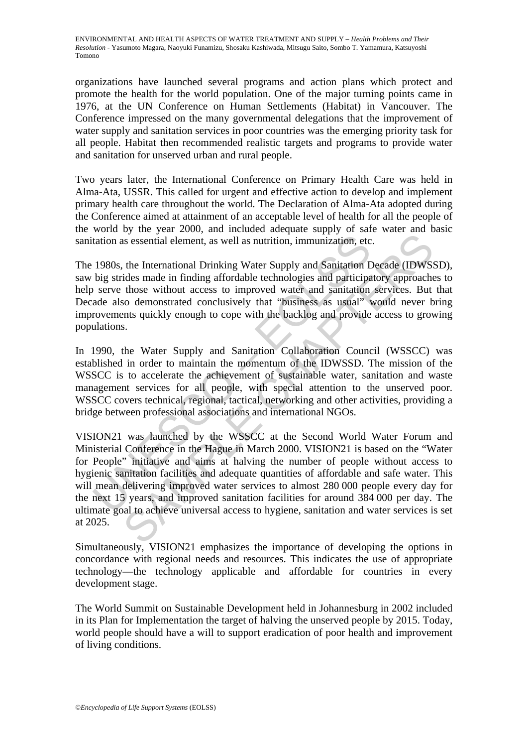organizations have launched several programs and action plans which protect and promote the health for the world population. One of the major turning points came in 1976, at the UN Conference on Human Settlements (Habitat) in Vancouver. The Conference impressed on the many governmental delegations that the improvement of water supply and sanitation services in poor countries was the emerging priority task for all people. Habitat then recommended realistic targets and programs to provide water and sanitation for unserved urban and rural people.

Two years later, the International Conference on Primary Health Care was held in Alma-Ata, USSR. This called for urgent and effective action to develop and implement primary health care throughout the world. The Declaration of Alma-Ata adopted during the Conference aimed at attainment of an acceptable level of health for all the people of the world by the year 2000, and included adequate supply of safe water and basic sanitation as essential element, as well as nutrition, immunization, etc.

The 1980s, the International Drinking Water Supply and Sanitation Decade (IDWSSD), saw big strides made in finding affordable technologies and participatory approaches to help serve those without access to improved water and sanitation services. But that Decade also demonstrated conclusively that "business as usual" would never bring improvements quickly enough to cope with the backlog and provide access to growing populations.

In 1990, the Water Supply and Sanitation Collaboration Council (WSSCC) was established in order to maintain the momentum of the IDWSSD. The mission of the WSSCC is to accelerate the achievement of sustainable water, sanitation and waste management services for all people, with special attention to the unserved poor. WSSCC covers technical, regional, tactical, networking and other activities, providing a bridge between professional associations and international NGOs.

tation as essential element, as well as nutrition, immunization, etc<br>
1980s, the International Drinking Water Supply and Sanitation L<br>
big strides made in finding affordable technologies and participa<br>
big strides made in is essential element, as well as nutrition, immunization, etc.<br>
the International Drinking Water Supply and Sanitation Decade (IDWS:<br>
dides made in finding affordable technologies and participatory approache<br>
those without VISION21 was launched by the WSSCC at the Second World Water Forum and Ministerial Conference in the Hague in March 2000. VISION21 is based on the "Water for People" initiative and aims at halving the number of people without access to hygienic sanitation facilities and adequate quantities of affordable and safe water. This will mean delivering improved water services to almost 280 000 people every day for the next 15 years, and improved sanitation facilities for around 384 000 per day. The ultimate goal to achieve universal access to hygiene, sanitation and water services is set at 2025.

Simultaneously, VISION21 emphasizes the importance of developing the options in concordance with regional needs and resources. This indicates the use of appropriate technology—the technology applicable and affordable for countries in every development stage.

The World Summit on Sustainable Development held in Johannesburg in 2002 included in its Plan for Implementation the target of halving the unserved people by 2015. Today, world people should have a will to support eradication of poor health and improvement of living conditions.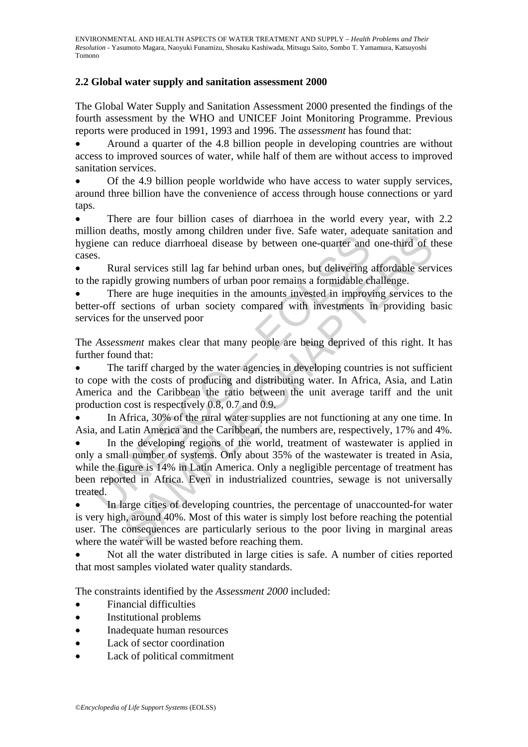## **2.2 Global water supply and sanitation assessment 2000**

The Global Water Supply and Sanitation Assessment 2000 presented the findings of the fourth assessment by the WHO and UNICEF Joint Monitoring Programme. Previous reports were produced in 1991, 1993 and 1996. The *assessment* has found that:

• Around a quarter of the 4.8 billion people in developing countries are without access to improved sources of water, while half of them are without access to improved sanitation services.

• Of the 4.9 billion people worldwide who have access to water supply services, around three billion have the convenience of access through house connections or yard taps.

There are four billion cases of diarrhoea in the world every year, with 2.2 million deaths, mostly among children under five. Safe water, adequate sanitation and hygiene can reduce diarrhoeal disease by between one-quarter and one-third of these cases.

• Rural services still lag far behind urban ones, but delivering affordable services to the rapidly growing numbers of urban poor remains a formidable challenge.

There are huge inequities in the amounts invested in improving services to the better-off sections of urban society compared with investments in providing basic services for the unserved poor

The *Assessment* makes clear that many people are being deprived of this right. It has further found that:

The tariff charged by the water agencies in developing countries is not sufficient to cope with the costs of producing and distributing water. In Africa, Asia, and Latin America and the Caribbean the ratio between the unit average tariff and the unit production cost is respectively 0.8, 0.7 and 0.9.

In Africa, 30% of the rural water supplies are not functioning at any one time. In Asia, and Latin America and the Caribbean, the numbers are, respectively, 17% and 4%.

From dealing the control of the track and the control of the mean and the deal.<br>
Bene can reduce diarrhoeal disease by between one-quarter and<br>
S.<br>
Rural services still lag far behind urban ones, but delivering<br>
readily gr alism, insolvy annoy communicant invierative. Salt water, acceleate sammation<br>in reduce diarrhoeal disease by between one-quarter and one-third of the<br>al services still lag far behind urban ones, but delivering affordable In the developing regions of the world, treatment of wastewater is applied in only a small number of systems. Only about 35% of the wastewater is treated in Asia, while the figure is 14% in Latin America. Only a negligible percentage of treatment has been reported in Africa. Even in industrialized countries, sewage is not universally treated.

In large cities of developing countries, the percentage of unaccounted-for water is very high, around 40%. Most of this water is simply lost before reaching the potential user. The consequences are particularly serious to the poor living in marginal areas where the water will be wasted before reaching them.

• Not all the water distributed in large cities is safe. A number of cities reported that most samples violated water quality standards.

The constraints identified by the *Assessment 2000* included:

- Financial difficulties
- Institutional problems
- Inadequate human resources
- Lack of sector coordination
- Lack of political commitment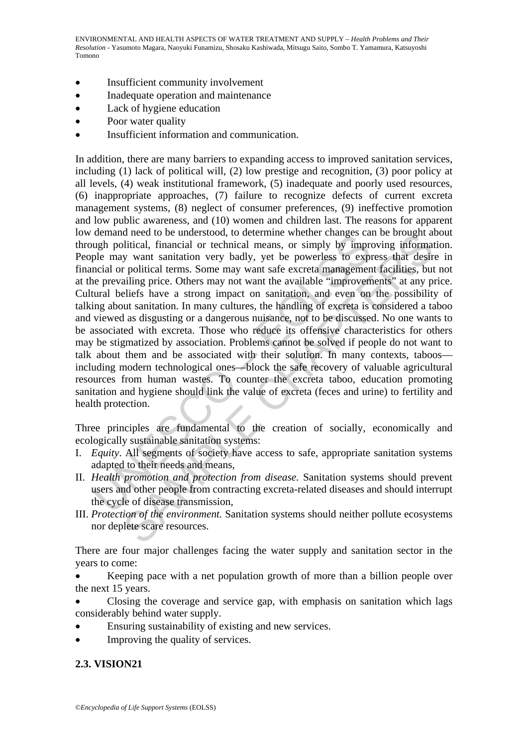- Insufficient community involvement
- Inadequate operation and maintenance
- Lack of hygiene education
- Poor water quality
- Insufficient information and communication.

uentaminated to be unterstood, to december when enterned relates<br>ugh political, financial or technical means, or simply by improple<br>may want sanitation very badly, yet be powerless to expine<br>necial or political terms. Some d need to be understood, to determine whener can<br>algo as the or to the difference of the control of the control of the<br>difical, financial or technical means, or simply by improving informaty<br>y want sanitation very badly, y In addition, there are many barriers to expanding access to improved sanitation services, including (1) lack of political will, (2) low prestige and recognition, (3) poor policy at all levels, (4) weak institutional framework, (5) inadequate and poorly used resources, (6) inappropriate approaches, (7) failure to recognize defects of current excreta management systems, (8) neglect of consumer preferences, (9) ineffective promotion and low public awareness, and (10) women and children last. The reasons for apparent low demand need to be understood, to determine whether changes can be brought about through political, financial or technical means, or simply by improving information. People may want sanitation very badly, yet be powerless to express that desire in financial or political terms. Some may want safe excreta management facilities, but not at the prevailing price. Others may not want the available "improvements" at any price. Cultural beliefs have a strong impact on sanitation, and even on the possibility of talking about sanitation. In many cultures, the handling of excreta is considered a taboo and viewed as disgusting or a dangerous nuisance, not to be discussed. No one wants to be associated with excreta. Those who reduce its offensive characteristics for others may be stigmatized by association. Problems cannot be solved if people do not want to talk about them and be associated with their solution. In many contexts, taboos including modern technological ones—block the safe recovery of valuable agricultural resources from human wastes. To counter the excreta taboo, education promoting sanitation and hygiene should link the value of excreta (feces and urine) to fertility and health protection.

Three principles are fundamental to the creation of socially, economically and ecologically sustainable sanitation systems:

- I. *Equity*. All segments of society have access to safe, appropriate sanitation systems adapted to their needs and means,
- II. *Health promotion and protection from disease.* Sanitation systems should prevent users and other people from contracting excreta-related diseases and should interrupt the cycle of disease transmission,
- III. *Protection of the environment.* Sanitation systems should neither pollute ecosystems nor deplete scare resources.

There are four major challenges facing the water supply and sanitation sector in the years to come:

• Keeping pace with a net population growth of more than a billion people over the next 15 years.

- Closing the coverage and service gap, with emphasis on sanitation which lags considerably behind water supply.
- Ensuring sustainability of existing and new services.
- Improving the quality of services.

## **2.3. VISION21**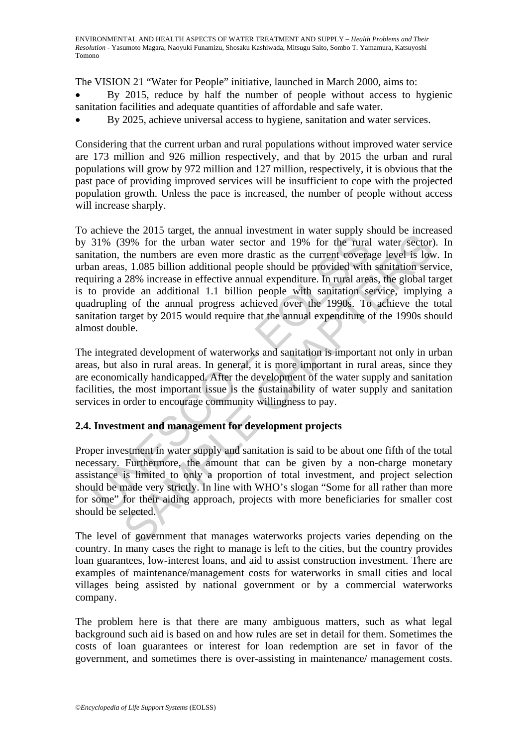The VISION 21 "Water for People" initiative, launched in March 2000, aims to:

- By 2015, reduce by half the number of people without access to hygienic sanitation facilities and adequate quantities of affordable and safe water.
- By 2025, achieve universal access to hygiene, sanitation and water services.

Considering that the current urban and rural populations without improved water service are 173 million and 926 million respectively, and that by 2015 the urban and rural populations will grow by 972 million and 127 million, respectively, it is obvious that the past pace of providing improved services will be insufficient to cope with the projected population growth. Unless the pace is increased, the number of people without access will increase sharply.

31% (39% for the urban water sector and 19% for the rural<br>31% (39% for the urban water sector and 19% for the rural<br>tation, the numbers are even more drastic as the current covera<br>in a cas, 1.085 billion additional people The zonix angular, an animal in most<br>annot monaton in and supply and are restored in the summation served in<br>the numbers are even more drastic as the current coverage level is low<br>the numbers are even more drastic as the To achieve the 2015 target, the annual investment in water supply should be increased by 31% (39% for the urban water sector and 19% for the rural water sector). In sanitation, the numbers are even more drastic as the current coverage level is low. In urban areas, 1.085 billion additional people should be provided with sanitation service, requiring a 28% increase in effective annual expenditure. In rural areas, the global target is to provide an additional 1.1 billion people with sanitation service, implying a quadrupling of the annual progress achieved over the 1990s. To achieve the total sanitation target by 2015 would require that the annual expenditure of the 1990s should almost double.

The integrated development of waterworks and sanitation is important not only in urban areas, but also in rural areas. In general, it is more important in rural areas, since they are economically handicapped. After the development of the water supply and sanitation facilities, the most important issue is the sustainability of water supply and sanitation services in order to encourage community willingness to pay.

## **2.4. Investment and management for development projects**

Proper investment in water supply and sanitation is said to be about one fifth of the total necessary. Furthermore, the amount that can be given by a non-charge monetary assistance is limited to only a proportion of total investment, and project selection should be made very strictly. In line with WHO's slogan "Some for all rather than more for some" for their aiding approach, projects with more beneficiaries for smaller cost should be selected.

The level of government that manages waterworks projects varies depending on the country. In many cases the right to manage is left to the cities, but the country provides loan guarantees, low-interest loans, and aid to assist construction investment. There are examples of maintenance/management costs for waterworks in small cities and local villages being assisted by national government or by a commercial waterworks company.

The problem here is that there are many ambiguous matters, such as what legal background such aid is based on and how rules are set in detail for them. Sometimes the costs of loan guarantees or interest for loan redemption are set in favor of the government, and sometimes there is over-assisting in maintenance/ management costs.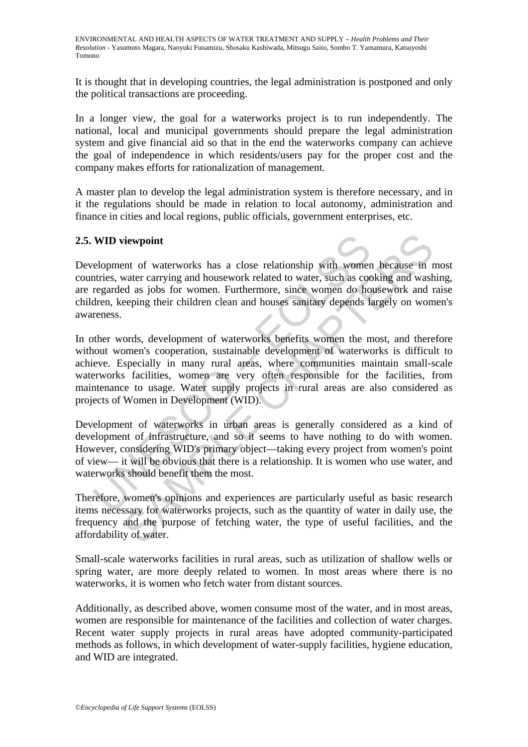It is thought that in developing countries, the legal administration is postponed and only the political transactions are proceeding.

In a longer view, the goal for a waterworks project is to run independently. The national, local and municipal governments should prepare the legal administration system and give financial aid so that in the end the waterworks company can achieve the goal of independence in which residents/users pay for the proper cost and the company makes efforts for rationalization of management.

A master plan to develop the legal administration system is therefore necessary, and in it the regulations should be made in relation to local autonomy, administration and finance in cities and local regions, public officials, government enterprises, etc.

## **2.5. WID viewpoint**

Development of waterworks has a close relationship with women because in most countries, water carrying and housework related to water, such as cooking and washing, are regarded as jobs for women. Furthermore, since women do housework and raise children, keeping their children clean and houses sanitary depends largely on women's awareness.

**WID viewpoint**<br>
elopment of waterworks has a close relationship with womenties, water carrying and housework related to water, such as cot<br>
regarded as jobs for women. Furthermore, since women do ho<br>
redactor and provide The<br>whore of waterworks has a close relationship with women because in the<br>water carrying and housework related to water, such as cooking and washed<br>as jobs for women. Furthermore, since women do housework and the<br>reping t In other words, development of waterworks benefits women the most, and therefore without women's cooperation, sustainable development of waterworks is difficult to achieve. Especially in many rural areas, where communities maintain small-scale waterworks facilities, women are very often responsible for the facilities, from maintenance to usage. Water supply projects in rural areas are also considered as projects of Women in Development (WID).

Development of waterworks in urban areas is generally considered as a kind of development of infrastructure, and so it seems to have nothing to do with women. However, considering WID's primary object—taking every project from women's point of view— it will be obvious that there is a relationship. It is women who use water, and waterworks should benefit them the most.

Therefore, women's opinions and experiences are particularly useful as basic research items necessary for waterworks projects, such as the quantity of water in daily use, the frequency and the purpose of fetching water, the type of useful facilities, and the affordability of water.

Small-scale waterworks facilities in rural areas, such as utilization of shallow wells or spring water, are more deeply related to women. In most areas where there is no waterworks, it is women who fetch water from distant sources.

Additionally, as described above, women consume most of the water, and in most areas, women are responsible for maintenance of the facilities and collection of water charges. Recent water supply projects in rural areas have adopted community-participated methods as follows, in which development of water-supply facilities, hygiene education, and WID are integrated.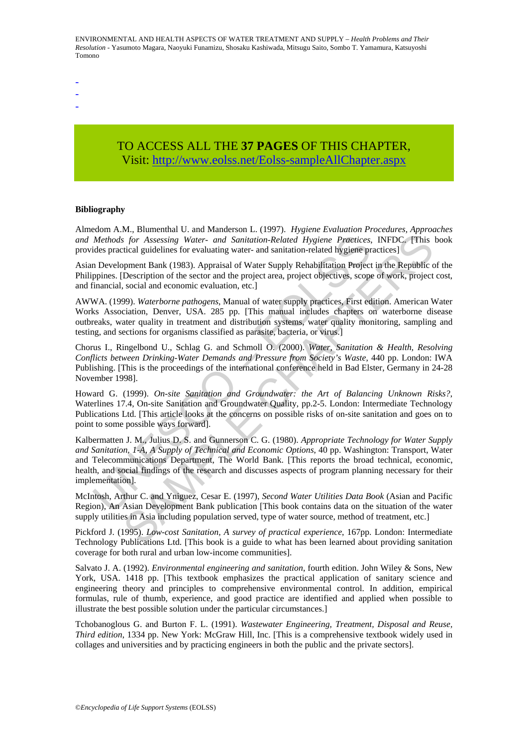- -
- -

# TO ACCESS ALL THE **37 PAGES** OF THIS CHAPTER, Visit[: http://www.eolss.net/Eolss-sampleAllChapter.aspx](https://www.eolss.net/ebooklib/sc_cart.aspx?File=E2-20B-04-00)

#### **Bibliography**

Almedom A.M., Blumenthal U. and Manderson L. (1997). *Hygiene Evaluation Procedures, Approaches and Methods for Assessing Water- and Sanitation-Related Hygiene Practices*, INFDC. [This book provides practical guidelines for evaluating water- and sanitation-related hygiene practices]

Asian Development Bank (1983). Appraisal of Water Supply Rehabilitation Project in the Republic of the Philippines. [Description of the sector and the project area, project objectives, scope of work, project cost, and financial, social and economic evaluation, etc.]

AWWA. (1999). *Waterborne pathogens*, Manual of water supply practices, First edition. American Water Works Association, Denver, USA. 285 pp. [This manual includes chapters on waterborne disease outbreaks, water quality in treatment and distribution systems, water quality monitoring, sampling and testing, and sections for organisms classified as parasite, bacteria, or virus.]

Chorus I., Ringelbond U., Schlag G. and Schmoll O. (2000). *Water, Sanitation & Health, Resolving Conflicts between Drinking-Water Demands and Pressure from Society's Waste*, 440 pp. London: IWA Publishing. [This is the proceedings of the international conference held in Bad Elster, Germany in 24-28 November 1998].

Howard G. (1999). *On-site Sanitation and Groundwater: the Art of Balancing Unknown Risks?*, Waterlines 17.4, On-site Sanitation and Groundwater Quality, pp.2-5. London: Intermediate Technology Publications Ltd. [This article looks at the concerns on possible risks of on-site sanitation and goes on to point to some possible ways forward].

*Methods for Assessing Water- and Sanitation-Related Hygiene Practices*,<br>ides practical guidelines for evaluating water- and sanitation-related Hygiene practices,<br>ides practical guidelines for evaluating water- and sanitat Example 10 National Patter and South of Hygiene Practices, INFDC. [This for Assessing Water- and Southation-Related Hygiene Practices, INFDC. [This for the Republic control and the project area, project objectives, scope Kalbermatten J. M., Julius D. S. and Gunnerson C. G. (1980). *Appropriate Technology for Water Supply and Sanitation, 1-A, A Supply of Technical and Economic Options*, 40 pp. Washington: Transport, Water and Telecommunications Department, The World Bank. [This reports the broad technical, economic, health, and social findings of the research and discusses aspects of program planning necessary for their implementation].

McIntosh, Arthur C. and Yniguez, Cesar E. (1997), *Second Water Utilities Data Book* (Asian and Pacific Region), An Asian Development Bank publication [This book contains data on the situation of the water supply utilities in Asia including population served, type of water source, method of treatment, etc.]

Pickford J. (1995). *Low-cost Sanitation, A survey of practical experience*, 167pp. London: Intermediate Technology Publications Ltd. [This book is a guide to what has been learned about providing sanitation coverage for both rural and urban low-income communities].

Salvato J. A. (1992). *Environmental engineering and sanitation*, fourth edition. John Wiley & Sons, New York, USA. 1418 pp. [This textbook emphasizes the practical application of sanitary science and engineering theory and principles to comprehensive environmental control. In addition, empirical formulas, rule of thumb, experience, and good practice are identified and applied when possible to illustrate the best possible solution under the particular circumstances.]

Tchobanoglous G. and Burton F. L. (1991). *Wastewater Engineering, Treatment, Disposal and Reuse, Third edition*, 1334 pp. New York: McGraw Hill, Inc. [This is a comprehensive textbook widely used in collages and universities and by practicing engineers in both the public and the private sectors].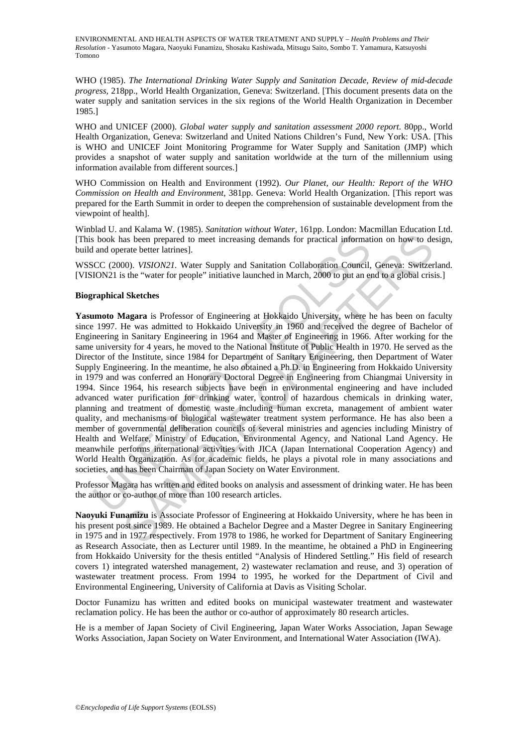WHO (1985). *The International Drinking Water Supply and Sanitation Decade, Review of mid-decade progress,* 218pp., World Health Organization, Geneva: Switzerland. [This document presents data on the water supply and sanitation services in the six regions of the World Health Organization in December 1985.]

WHO and UNICEF (2000). *Global water supply and sanitation assessment 2000 report*. 80pp., World Health Organization, Geneva: Switzerland and United Nations Children's Fund, New York: USA. [This is WHO and UNICEF Joint Monitoring Programme for Water Supply and Sanitation (JMP) which provides a snapshot of water supply and sanitation worldwide at the turn of the millennium using information available from different sources.]

WHO Commission on Health and Environment (1992). *Our Planet, our Health: Report of the WHO Commission on Health and Environment*, 381pp. Geneva: World Health Organization. [This report was prepared for the Earth Summit in order to deepen the comprehension of sustainable development from the viewpoint of health].

Winblad U. and Kalama W. (1985). *Sanitation without Water*, 161pp. London: Macmillan Education Ltd. [This book has been prepared to meet increasing demands for practical information on how to design, build and operate better latrines].

WSSCC (2000). *VISION21.* Water Supply and Sanitation Collaboration Council, Geneva: Switzerland. [VISION21 is the "water for people" initiative launched in March, 2000 to put an end to a global crisis.]

#### **Biographical Sketches**

s book has been prepared to meet increasing demands for practical informat<br>and operate better latrines].<br>CC (2000). *VISION21*. Water Supply and Sanitation Collaboration Council,<br>ICC (2000). *VISION21*. Water Supply and Sa ass been prepared to meet increasing demands for practical information on how to de<br>arate better latrines).<br>
2000, VISION221. Water Supply and Sanitation Collaboration Council, Geneva: Switzer<br>
2000, VISION221. Water Suppl **Yasumoto Magara** is Professor of Engineering at Hokkaido University, where he has been on faculty since 1997. He was admitted to Hokkaido University in 1960 and received the degree of Bachelor of Engineering in Sanitary Engineering in 1964 and Master of Engineering in 1966. After working for the same university for 4 years, he moved to the National Institute of Public Health in 1970. He served as the Director of the Institute, since 1984 for Department of Sanitary Engineering, then Department of Water Supply Engineering. In the meantime, he also obtained a Ph.D. in Engineering from Hokkaido University in 1979 and was conferred an Honorary Doctoral Degree in Engineering from Chiangmai University in 1994. Since 1964, his research subjects have been in environmental engineering and have included advanced water purification for drinking water, control of hazardous chemicals in drinking water, planning and treatment of domestic waste including human excreta, management of ambient water quality, and mechanisms of biological wastewater treatment system performance. He has also been a member of governmental deliberation councils of several ministries and agencies including Ministry of Health and Welfare, Ministry of Education, Environmental Agency, and National Land Agency. He meanwhile performs international activities with JICA (Japan International Cooperation Agency) and World Health Organization. As for academic fields, he plays a pivotal role in many associations and societies, and has been Chairman of Japan Society on Water Environment.

Professor Magara has written and edited books on analysis and assessment of drinking water. He has been the author or co-author of more than 100 research articles.

**Naoyuki Funamizu** is Associate Professor of Engineering at Hokkaido University, where he has been in his present post since 1989. He obtained a Bachelor Degree and a Master Degree in Sanitary Engineering in 1975 and in 1977 respectively. From 1978 to 1986, he worked for Department of Sanitary Engineering as Research Associate, then as Lecturer until 1989. In the meantime, he obtained a PhD in Engineering from Hokkaido University for the thesis entitled "Analysis of Hindered Settling." His field of research covers 1) integrated watershed management, 2) wastewater reclamation and reuse, and 3) operation of wastewater treatment process. From 1994 to 1995, he worked for the Department of Civil and Environmental Engineering, University of California at Davis as Visiting Scholar.

Doctor Funamizu has written and edited books on municipal wastewater treatment and wastewater reclamation policy. He has been the author or co-author of approximately 80 research articles.

He is a member of Japan Society of Civil Engineering, Japan Water Works Association, Japan Sewage Works Association, Japan Society on Water Environment, and International Water Association (IWA).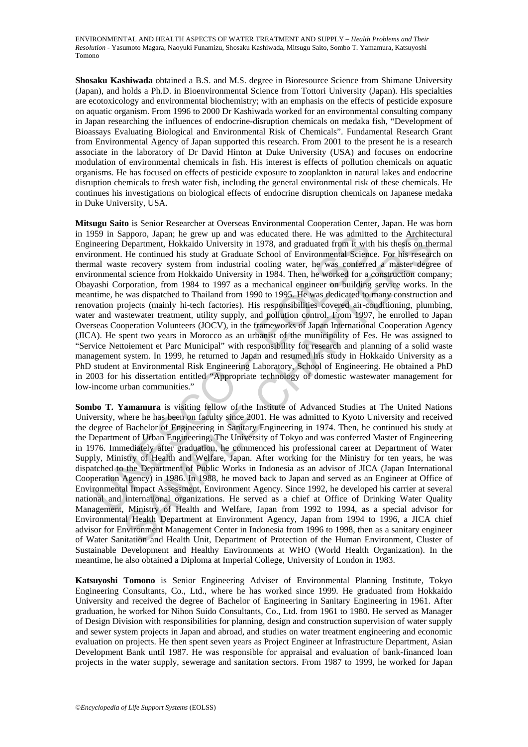**Shosaku Kashiwada** obtained a B.S. and M.S. degree in Bioresource Science from Shimane University (Japan), and holds a Ph.D. in Bioenvironmental Science from Tottori University (Japan). His specialties are ecotoxicology and environmental biochemistry; with an emphasis on the effects of pesticide exposure on aquatic organism. From 1996 to 2000 Dr Kashiwada worked for an environmental consulting company in Japan researching the influences of endocrine-disruption chemicals on medaka fish, "Development of Bioassays Evaluating Biological and Environmental Risk of Chemicals". Fundamental Research Grant from Environmental Agency of Japan supported this research. From 2001 to the present he is a research associate in the laboratory of Dr David Hinton at Duke University (USA) and focuses on endocrine modulation of environmental chemicals in fish. His interest is effects of pollution chemicals on aquatic organisms. He has focused on effects of pesticide exposure to zooplankton in natural lakes and endocrine disruption chemicals to fresh water fish, including the general environmental risk of these chemicals. He continues his investigations on biological effects of endocrine disruption chemicals on Japanese medaka in Duke University, USA.

593 In Sapporo, Japan; he grew up and was educated there. He was admitted<br>meering Department, Hokkaido University in 1978, and graduated from it with<br>commental Science covery system from industrial cooling water, he was co apporo, Japan; he grew up and was clucted there. He was admitted to the Architect and Department, Hokkaido University in 1978, and graduated from it with his thesis on the<br>He continued his study at Graduate School of Envir **Mitsugu Saito** is Senior Researcher at Overseas Environmental Cooperation Center, Japan. He was born in 1959 in Sapporo, Japan; he grew up and was educated there. He was admitted to the Architectural Engineering Department, Hokkaido University in 1978, and graduated from it with his thesis on thermal environment. He continued his study at Graduate School of Environmental Science. For his research on thermal waste recovery system from industrial cooling water, he was conferred a master degree of environmental science from Hokkaido University in 1984. Then, he worked for a construction company; Obayashi Corporation, from 1984 to 1997 as a mechanical engineer on building service works. In the meantime, he was dispatched to Thailand from 1990 to 1995. He was dedicated to many construction and renovation projects (mainly hi-tech factories). His responsibilities covered air-conditioning, plumbing, water and wastewater treatment, utility supply, and pollution control. From 1997, he enrolled to Japan Overseas Cooperation Volunteers (JOCV), in the frameworks of Japan International Cooperation Agency (JICA). He spent two years in Morocco as an urbanist of the municipality of Fes. He was assigned to "Service Nettoiement et Parc Municipal" with responsibility for research and planning of a solid waste management system. In 1999, he returned to Japan and resumed his study in Hokkaido University as a PhD student at Environmental Risk Engineering Laboratory, School of Engineering. He obtained a PhD in 2003 for his dissertation entitled "Appropriate technology of domestic wastewater management for low-income urban communities."

**Sombo T. Yamamura** is visiting fellow of the Institute of Advanced Studies at The United Nations University, where he has been on faculty since 2001. He was admitted to Kyoto University and received the degree of Bachelor of Engineering in Sanitary Engineering in 1974. Then, he continued his study at the Department of Urban Engineering, The University of Tokyo and was conferred Master of Engineering in 1976. Immediately after graduation, he commenced his professional career at Department of Water Supply, Ministry of Health and Welfare, Japan. After working for the Ministry for ten years, he was dispatched to the Department of Public Works in Indonesia as an advisor of JICA (Japan International Cooperation Agency) in 1986. In 1988, he moved back to Japan and served as an Engineer at Office of Environmental Impact Assessment, Environment Agency. Since 1992, he developed his carrier at several national and international organizations. He served as a chief at Office of Drinking Water Quality Management, Ministry of Health and Welfare, Japan from 1992 to 1994, as a special advisor for Environmental Health Department at Environment Agency, Japan from 1994 to 1996, a JICA chief advisor for Environment Management Center in Indonesia from 1996 to 1998, then as a sanitary engineer of Water Sanitation and Health Unit, Department of Protection of the Human Environment, Cluster of Sustainable Development and Healthy Environments at WHO (World Health Organization). In the meantime, he also obtained a Diploma at Imperial College, University of London in 1983.

**Katsuyoshi Tomono** is Senior Engineering Adviser of Environmental Planning Institute, Tokyo Engineering Consultants, Co., Ltd., where he has worked since 1999. He graduated from Hokkaido University and received the degree of Bachelor of Engineering in Sanitary Engineering in 1961. After graduation, he worked for Nihon Suido Consultants, Co., Ltd. from 1961 to 1980. He served as Manager of Design Division with responsibilities for planning, design and construction supervision of water supply and sewer system projects in Japan and abroad, and studies on water treatment engineering and economic evaluation on projects. He then spent seven years as Project Engineer at Infrastructure Department, Asian Development Bank until 1987. He was responsible for appraisal and evaluation of bank-financed loan projects in the water supply, sewerage and sanitation sectors. From 1987 to 1999, he worked for Japan